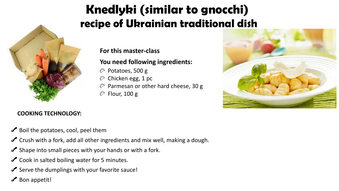# Knedlyki (similar to gnocchi) **recipe of Ukrainian traditional dish**

#### **For this master-class**

### **You need following ingredients:**

- $\heartsuit$  Potatoes, 500 g
- Chicken egg, 1 pc ♡
- Parmesan or other hard cheese, 30 g
- $\oslash$  Flour, 100 g



#### **COOKING TECHNOLOGY:**

- Boil the potatoes, cool, peel them
- $\triangle$  Crush with a fork, add all other ingredients and mix well, making a dough.
- $\triangle$  Shape into small pieces with your hands or with a fork.
- Cook in salted boiling water for 5 minutes.
- $\triangle$  Serve the dumplings with your favorite sauce!
- $\triangle$  Bon appetit!